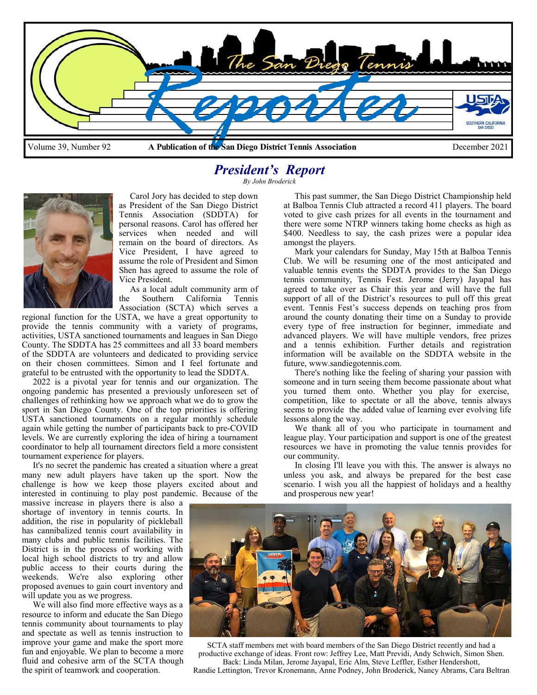

## *President's Report*

*By John Broderick* 



 Carol Jory has decided to step down as President of the San Diego District Tennis Association (SDDTA) for personal reasons. Carol has offered her services when needed and will remain on the board of directors. As Vice President, I have agreed to assume the role of President and Simon Shen has agreed to assume the role of Vice President.

 As a local adult community arm of the Southern California Tennis Association (SCTA) which serves a

regional function for the USTA, we have a great opportunity to provide the tennis community with a variety of programs, activities, USTA sanctioned tournaments and leagues in San Diego County. The SDDTA has 25 committees and all 33 board members of the SDDTA are volunteers and dedicated to providing service on their chosen committees. Simon and I feel fortunate and grateful to be entrusted with the opportunity to lead the SDDTA.

 2022 is a pivotal year for tennis and our organization. The ongoing pandemic has presented a previously unforeseen set of challenges of rethinking how we approach what we do to grow the sport in San Diego County. One of the top priorities is offering USTA sanctioned tournaments on a regular monthly schedule again while getting the number of participants back to pre-COVID levels. We are currently exploring the idea of hiring a tournament coordinator to help all tournament directors field a more consistent tournament experience for players.

 It's no secret the pandemic has created a situation where a great many new adult players have taken up the sport. Now the challenge is how we keep those players excited about and interested in continuing to play post pandemic. Because of the

massive increase in players there is also a shortage of inventory in tennis courts. In addition, the rise in popularity of pickleball has cannibalized tennis court availability in many clubs and public tennis facilities. The District is in the process of working with local high school districts to try and allow public access to their courts during the weekends. We're also exploring other proposed avenues to gain court inventory and will update you as we progress.

 We will also find more effective ways as a resource to inform and educate the San Diego tennis community about tournaments to play and spectate as well as tennis instruction to improve your game and make the sport more fun and enjoyable. We plan to become a more fluid and cohesive arm of the SCTA though the spirit of teamwork and cooperation.

 This past summer, the San Diego District Championship held at Balboa Tennis Club attracted a record 411 players. The board voted to give cash prizes for all events in the tournament and there were some NTRP winners taking home checks as high as \$400. Needless to say, the cash prizes were a popular idea amongst the players.

 Mark your calendars for Sunday, May 15th at Balboa Tennis Club. We will be resuming one of the most anticipated and valuable tennis events the SDDTA provides to the San Diego tennis community, Tennis Fest. Jerome (Jerry) Jayapal has agreed to take over as Chair this year and will have the full support of all of the District's resources to pull off this great event. Tennis Fest's success depends on teaching pros from around the county donating their time on a Sunday to provide every type of free instruction for beginner, immediate and advanced players. We will have multiple vendors, free prizes and a tennis exhibition. Further details and registration information will be available on the SDDTA website in the future, www.sandiegotennis.com.

 There's nothing like the feeling of sharing your passion with someone and in turn seeing them become passionate about what you turned them onto. Whether you play for exercise, competition, like to spectate or all the above, tennis always seems to provide the added value of learning ever evolving life lessons along the way.

 We thank all of you who participate in tournament and league play. Your participation and support is one of the greatest resources we have in promoting the value tennis provides for our community.

 In closing I'll leave you with this. The answer is always no unless you ask, and always be prepared for the best case scenario. I wish you all the happiest of holidays and a healthy and prosperous new year!



SCTA staff members met with board members of the San Diego District recently and had a productive exchange of ideas. Front row: Jeffrey Lee, Matt Previdi, Andy Schwich, Simon Shen. Back: Linda Milan, Jerome Jayapal, Eric Alm, Steve Leffler, Esther Hendershott,

Randie Lettington, Trevor Kronemann, Anne Podney, John Broderick, Nancy Abrams, Cara Beltran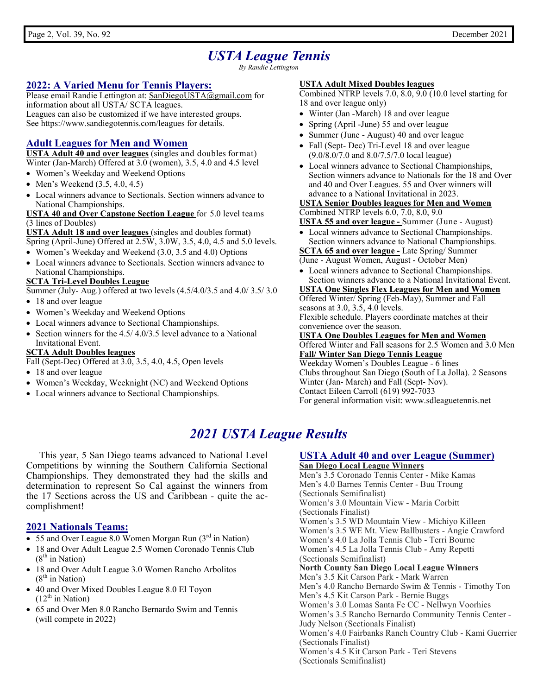## *USTA League Tennis*

*By Randie Lettington* 

#### **2022: A Varied Menu for Tennis Players:**

Please email Randie Lettington at: SanDiegoUSTA@gmail.com for information about all USTA/ SCTA leagues. Leagues can also be customized if we have interested groups. See https://www.sandiegotennis.com/leagues for details.

#### **Adult Leagues for Men and Women**

**USTA Adult 40 and over leagues** (singles and doubles format) Winter (Jan-March) Offered at 3.0 (women), 3.5, 4.0 and 4.5 level

- Women's Weekday and Weekend Options
- Men's Weekend  $(3.5, 4.0, 4.5)$
- Local winners advance to Sectionals. Section winners advance to National Championships.

**USTA 40 and Over Capstone Section League** for 5.0 level teams (3 lines of Doubles)

**USTA Adult 18 and over leagues** (singles and doubles format) Spring (April-June) Offered at 2.5W, 3.0W, 3.5, 4.0, 4.5 and 5.0 levels.

- Women's Weekday and Weekend (3.0, 3.5 and 4.0) Options
- Local winners advance to Sectionals. Section winners advance to National Championships.

#### **SCTA Tri-Level Doubles League**

Summer (July- Aug.) offered at two levels (4.5/4.0/3.5 and 4.0/ 3.5/ 3.0

- 18 and over league
- Women's Weekday and Weekend Options
- Local winners advance to Sectional Championships.
- Section winners for the 4.5/ 4.0/3.5 level advance to a National Invitational Event.

#### **SCTA Adult Doubles leagues**

Fall (Sept-Dec) Offered at 3.0, 3.5, 4.0, 4.5, Open levels

- 18 and over league
- Women's Weekday, Weeknight (NC) and Weekend Options
- Local winners advance to Sectional Championships.

#### **USTA Adult Mixed Doubles leagues**

Combined NTRP levels 7.0, 8.0, 9.0 (10.0 level starting for 18 and over league only)

- Winter (Jan -March) 18 and over league
- Spring (April -June) 55 and over league
- Summer (June August) 40 and over league
- Fall (Sept- Dec) Tri-Level 18 and over league (9.0/8.0/7.0 and 8.0/7.5/7.0 local league)
- Local winners advance to Sectional Championships, Section winners advance to Nationals for the 18 and Over and 40 and Over Leagues. 55 and Over winners will advance to a National Invitational in 2023.

#### **USTA Senior Doubles leagues for Men and Women**

#### Combined NTRP levels 6.0, 7.0, 8.0, 9.0

**USTA 55 and over league -** Summer (June - August)

 Local winners advance to Sectional Championships. Section winners advance to National Championships. **SCTA 65 and over league -** Late Spring/ Summer

(June - August Women, August - October Men)

 Local winners advance to Sectional Championships. Section winners advance to a National Invitational Event.

**USTA One Singles Flex Leagues for Men and Women**  Offered Winter/ Spring (Feb-May), Summer and Fall seasons at 3.0, 3.5, 4.0 levels. Flexible schedule. Players coordinate matches at their

convenience over the season.

**USTA One Doubles Leagues for Men and Women**  Offered Winter and Fall seasons for 2.5 Women and 3.0 Men **Fall/ Winter San Diego Tennis League** 

Weekday Women's Doubles League - 6 lines Clubs throughout San Diego (South of La Jolla). 2 Seasons Winter (Jan- March) and Fall (Sept- Nov). Contact Eileen Carroll (619) 992-7033 For general information visit: www.sdleaguetennis.net

## *2021 USTA League Results*

This year, 5 San Diego teams advanced to National Level Competitions by winning the Southern California Sectional Championships. They demonstrated they had the skills and determination to represent So Cal against the winners from the 17 Sections across the US and Caribbean - quite the accomplishment!

#### **2021 Nationals Teams:**

- 55 and Over League 8.0 Women Morgan Run (3rd in Nation)
- 18 and Over Adult League 2.5 Women Coronado Tennis Club  $(8<sup>th</sup>$  in Nation)
- 18 and Over Adult League 3.0 Women Rancho Arbolitos  $(8<sup>th</sup>$  in Nation)
- 40 and Over Mixed Doubles League 8.0 El Toyon  $(12<sup>th</sup>$  in Nation)
- 65 and Over Men 8.0 Rancho Bernardo Swim and Tennis (will compete in 2022)

### **USTA Adult 40 and over League (Summer)**

**San Diego Local League Winners** Men's 3.5 Coronado Tennis Center - Mike Kamas Men's 4.0 Barnes Tennis Center - Buu Troung (Sectionals Semifinalist) Women's 3.0 Mountain View - Maria Corbitt (Sectionals Finalist) Women's 3.5 WD Mountain View - Michiyo Killeen Women's 3.5 WE Mt. View Ballbusters - Angie Crawford Women's 4.0 La Jolla Tennis Club - Terri Bourne Women's 4.5 La Jolla Tennis Club - Amy Repetti (Sectionals Semifinalist) **North County San Diego Local League Winners** Men's 3.5 Kit Carson Park - Mark Warren Men's 4.0 Rancho Bernardo Swim & Tennis - Timothy Ton Men's 4.5 Kit Carson Park - Bernie Buggs Women's 3.0 Lomas Santa Fe CC - Nellwyn Voorhies Women's 3.5 Rancho Bernardo Community Tennis Center - Judy Nelson (Sectionals Finalist) Women's 4.0 Fairbanks Ranch Country Club - Kami Guerrier (Sectionals Finalist) Women's 4.5 Kit Carson Park - Teri Stevens (Sectionals Semifinalist)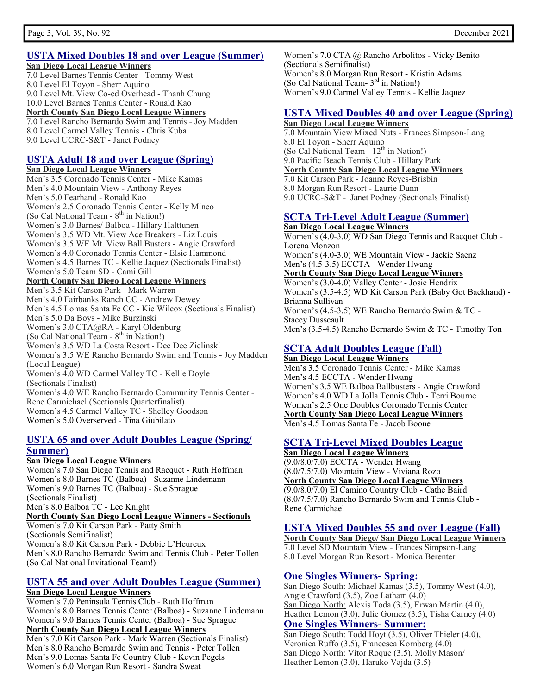#### **USTA Mixed Doubles 18 and over League (Summer) San Diego Local League Winners**

7.0 Level Barnes Tennis Center - Tommy West 8.0 Level El Toyon - Sherr Aquino 9.0 Level Mt. View Co-ed Overhead - Thanh Chung 10.0 Level Barnes Tennis Center - Ronald Kao **North County San Diego Local League Winners** 7.0 Level Rancho Bernardo Swim and Tennis - Joy Madden 8.0 Level Carmel Valley Tennis - Chris Kuba 9.0 Level UCRC-S&T - Janet Podney

#### **USTA Adult 18 and over League (Spring)**

**San Diego Local League Winners**  Men's 3.5 Coronado Tennis Center - Mike Kamas Men's 4.0 Mountain View - Anthony Reyes Men's 5.0 Fearhand - Ronald Kao Women's 2.5 Coronado Tennis Center - Kelly Mineo (So Cal National Team -  $8<sup>th</sup>$  in Nation!) Women's 3.0 Barnes/ Balboa - Hillary Halttunen Women's 3.5 WD Mt. View Ace Breakers - Liz Louis Women's 3.5 WE Mt. View Ball Busters - Angie Crawford Women's 4.0 Coronado Tennis Center - Elsie Hammond Women's 4.5 Barnes TC - Kellie Jaquez (Sectionals Finalist) Women's 5.0 Team SD - Cami Gill **North County San Diego Local League Winners** Men's 3.5 Kit Carson Park - Mark Warren Men's 4.0 Fairbanks Ranch CC - Andrew Dewey Men's 4.5 Lomas Santa Fe CC - Kie Wilcox (Sectionals Finalist) Men's 5.0 Da Boys - Mike Burzinski Women's 3.0 CTA@RA - Karyl Oldenburg (So Cal National Team -  $8<sup>th</sup>$  in Nation!)

Women's 3.5 WD La Costa Resort - Dee Dee Zielinski Women's 3.5 WE Rancho Bernardo Swim and Tennis - Joy Madden (Local League) Women's 4.0 WD Carmel Valley TC - Kellie Doyle

(Sectionals Finalist) Women's 4.0 WE Rancho Bernardo Community Tennis Center - Rene Carmichael (Sectionals Quarterfinalist) Women's 4.5 Carmel Valley TC - Shelley Goodson Women's 5.0 Overserved - Tina Giubilato

#### **USTA 65 and over Adult Doubles League (Spring/ Summer)**

#### **San Diego Local League Winners**

Women's 7.0 San Diego Tennis and Racquet - Ruth Hoffman Women's 8.0 Barnes TC (Balboa) - Suzanne Lindemann Women's 9.0 Barnes TC (Balboa) - Sue Sprague (Sectionals Finalist) Men's 8.0 Balboa TC - Lee Knight **North County San Diego Local League Winners - Sectionals**  Women's 7.0 Kit Carson Park - Patty Smith (Sectionals Semifinalist) Women's 8.0 Kit Carson Park - Debbie L'Heureux Men's 8.0 Rancho Bernardo Swim and Tennis Club - Peter Tollen (So Cal National Invitational Team!)

#### **USTA 55 and over Adult Doubles League (Summer) San Diego Local League Winners**

Women's 7.0 Peninsula Tennis Club - Ruth Hoffman Women's 8.0 Barnes Tennis Center (Balboa) - Suzanne Lindemann Women's 9.0 Barnes Tennis Center (Balboa) - Sue Sprague **North County San Diego Local League Winners** Men's 7.0 Kit Carson Park - Mark Warren (Sectionals Finalist) Men's 8.0 Rancho Bernardo Swim and Tennis - Peter Tollen Men's 9.0 Lomas Santa Fe Country Club - Kevin Pegels

Women's 6.0 Morgan Run Resort - Sandra Sweat

Women's 7.0 CTA @ Rancho Arbolitos - Vicky Benito (Sectionals Semifinalist) Women's 8.0 Morgan Run Resort - Kristin Adams (So Cal National Team- $3<sup>rd</sup>$  in Nation!) Women's 9.0 Carmel Valley Tennis - Kellie Jaquez

#### **USTA Mixed Doubles 40 and over League (Spring) San Diego Local League Winners**

7.0 Mountain View Mixed Nuts - Frances Simpson-Lang 8.0 El Toyon - Sherr Aquino (So Cal National Team - 12<sup>th</sup> in Nation!) 9.0 Pacific Beach Tennis Club - Hillary Park **North County San Diego Local League Winners** 7.0 Kit Carson Park - Joanne Reyes-Brisbin 8.0 Morgan Run Resort - Laurie Dunn 9.0 UCRC-S&T - Janet Podney (Sectionals Finalist)

#### **SCTA Tri-Level Adult League (Summer) San Diego Local League Winners**

Women's (4.0-3.0) WD San Diego Tennis and Racquet Club - Lorena Monzon Women's (4.0-3.0) WE Mountain View - Jackie Saenz Men's (4.5-3.5) ECCTA - Wender Hwang **North County San Diego Local League Winners**  Women's (3.0-4.0) Valley Center - Josie Hendrix Women's (3.5-4.5) WD Kit Carson Park (Baby Got Backhand) - Brianna Sullivan Women's (4.5-3.5) WE Rancho Bernardo Swim & TC - Stacey Dusseault Men's (3.5-4.5) Rancho Bernardo Swim & TC - Timothy Ton

#### **SCTA Adult Doubles League (Fall) San Diego Local League Winners**

Men's 3.5 Coronado Tennis Center - Mike Kamas Men's 4.5 ECCTA - Wender Hwang Women's 3.5 WE Balboa Ballbusters - Angie Crawford Women's 4.0 WD La Jolla Tennis Club - Terri Bourne Women's 2.5 One Doubles Coronado Tennis Center **North County San Diego Local League Winners**  Men's 4.5 Lomas Santa Fe - Jacob Boone

#### **SCTA Tri-Level Mixed Doubles League**

**San Diego Local League Winners**  (9.0/8.0/7.0) ECCTA - Wender Hwang (8.0/7.5/7.0) Mountain View - Viviana Rozo **North County San Diego Local League Winners**  (9.0/8.0/7.0) El Camino Country Club - Cathe Baird (8.0/7.5/7.0) Rancho Bernardo Swim and Tennis Club - Rene Carmichael

#### **USTA Mixed Doubles 55 and over League (Fall)**

**North County San Diego/ San Diego Local League Winners** 7.0 Level SD Mountain View - Frances Simpson-Lang 8.0 Level Morgan Run Resort - Monica Berenter

#### **One Singles Winners- Spring:**

San Diego South: Michael Kamas (3.5), Tommy West (4.0), Angie Crawford (3.5), Zoe Latham (4.0) San Diego North: Alexis Toda (3.5), Erwan Martin (4.0), Heather Lemon (3.0), Julie Gomez (3.5), Tisha Carney (4.0) **One Singles Winners- Summer:**

San Diego South: Todd Hoyt (3.5), Oliver Thieler (4.0), Veronica Ruffo (3.5), Francesca Kornberg (4.0) San Diego North: Vitor Roque (3.5), Molly Mason/ Heather Lemon (3.0), Haruko Vajda (3.5)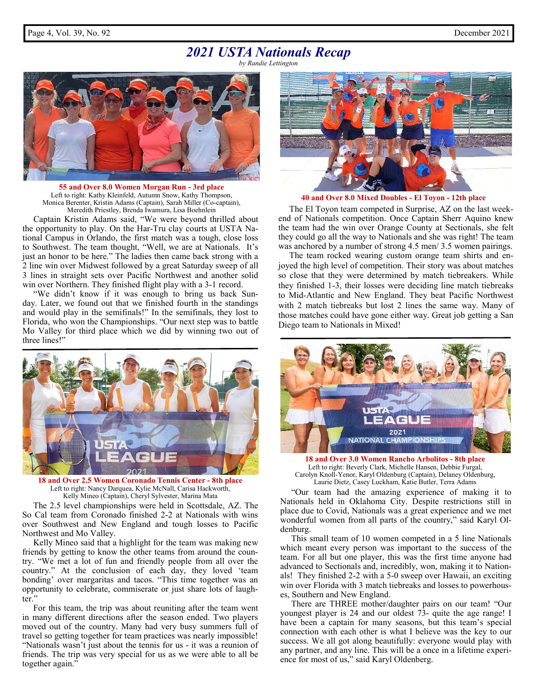*by Randie Lettington* 



**55 and Over 8.0 Women Morgan Run - 3rd place** Left to right: Kathy Kleinfeld, Autumn Snow, Kathy Thompson, Monica Berenter, Kristin Adams (Captain), Sarah Miller (Co-captain), Meredith Priestley, Brenda Iwamura, Lisa Boehnlein

 Captain Kristin Adams said, "We were beyond thrilled about the opportunity to play. On the Har-Tru clay courts at USTA National Campus in Orlando, the first match was a tough, close loss to Southwest. The team thought, "Well, we are at Nationals. It's just an honor to be here." The ladies then came back strong with a 2 line win over Midwest followed by a great Saturday sweep of all 3 lines in straight sets over Pacific Northwest and another solid win over Northern. They finished flight play with a 3-1 record.

 "We didn't know if it was enough to bring us back Sunday. Later, we found out that we finished fourth in the standings and would play in the semifinals!" In the semifinals, they lost to Florida, who won the Championships. "Our next step was to battle Mo Valley for third place which we did by winning two out of three lines!"



**18 and Over 2.5 Women Coronado Tennis Center - 8th place** Left to right: Nancy Darquea, Kylie McNall, Carisa Hackworth, Kelly Mineo (Captain), Cheryl Sylvester, Marina Mata

 The 2.5 level championships were held in Scottsdale, AZ. The So Cal team from Coronado finished 2-2 at Nationals with wins over Southwest and New England and tough losses to Pacific Northwest and Mo Valley.

 Kelly Mineo said that a highlight for the team was making new friends by getting to know the other teams from around the country. "We met a lot of fun and friendly people from all over the country." At the conclusion of each day, they loved 'team bonding' over margaritas and tacos. "This time together was an opportunity to celebrate, commiserate or just share lots of laughter."

 For this team, the trip was about reuniting after the team went in many different directions after the season ended. Two players moved out of the country. Many had very busy summers full of travel so getting together for team practices was nearly impossible! "Nationals wasn't just about the tennis for us - it was a reunion of friends. The trip was very special for us as we were able to all be together again.'



**40 and Over 8.0 Mixed Doubles - El Toyon - 12th place** 

 The El Toyon team competed in Surprise, AZ on the last weekend of Nationals competition. Once Captain Sherr Aquino knew the team had the win over Orange County at Sectionals, she felt they could go all the way to Nationals and she was right! The team was anchored by a number of strong 4.5 men/ 3.5 women pairings.

 The team rocked wearing custom orange team shirts and enjoyed the high level of competition. Their story was about matches so close that they were determined by match tiebreakers. While they finished 1-3, their losses were deciding line match tiebreaks to Mid-Atlantic and New England. They beat Pacific Northwest with 2 match tiebreaks but lost 2 lines the same way. Many of those matches could have gone either way. Great job getting a San Diego team to Nationals in Mixed!



**18 and Over 3.0 Women Rancho Arbolitos - 8th place** Left to right: Beverly Clark, Michelle Hansen, Debbie Furgal, Carolyn Knoll-Yenor, Karyl Oldenburg (Captain), Delaney Oldenburg, Laurie Dietz, Casey Luckham, Katie Butler, Terra Adams

 "Our team had the amazing experience of making it to Nationals held in Oklahoma City. Despite restrictions still in place due to Covid, Nationals was a great experience and we met wonderful women from all parts of the country," said Karyl Oldenburg.

 This small team of 10 women competed in a 5 line Nationals which meant every person was important to the success of the team. For all but one player, this was the first time anyone had advanced to Sectionals and, incredibly, won, making it to Nationals! They finished 2-2 with a 5-0 sweep over Hawaii, an exciting win over Florida with 3 match tiebreaks and losses to powerhouses, Southern and New England.

 There are THREE mother/daughter pairs on our team! "Our youngest player is 24 and our oldest 73- quite the age range! I have been a captain for many seasons, but this team's special connection with each other is what I believe was the key to our success. We all got along beautifully: everyone would play with any partner, and any line. This will be a once in a lifetime experience for most of us," said Karyl Oldenberg.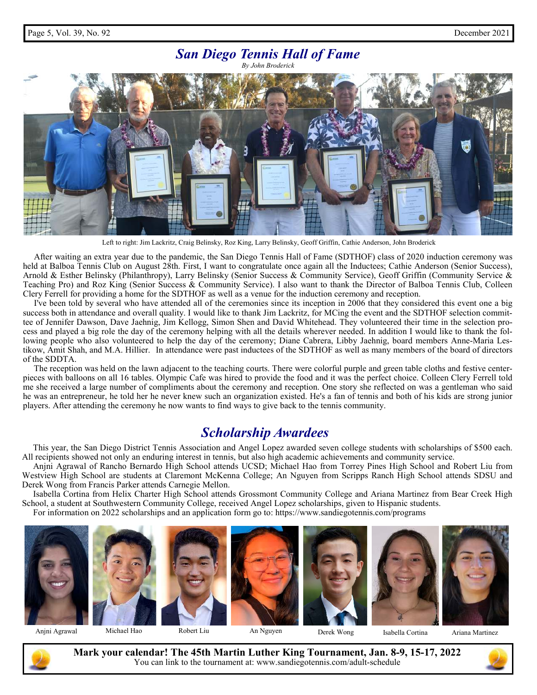#### *San Diego Tennis Hall of Fame By John Broderick*



Left to right: Jim Lackritz, Craig Belinsky, Roz King, Larry Belinsky, Geoff Griffin, Cathie Anderson, John Broderick

 After waiting an extra year due to the pandemic, the San Diego Tennis Hall of Fame (SDTHOF) class of 2020 induction ceremony was held at Balboa Tennis Club on August 28th. First, I want to congratulate once again all the Inductees; Cathie Anderson (Senior Success), Arnold & Esther Belinsky (Philanthropy), Larry Belinsky (Senior Success & Community Service), Geoff Griffin (Community Service & Teaching Pro) and Roz King (Senior Success & Community Service). I also want to thank the Director of Balboa Tennis Club, Colleen Clery Ferrell for providing a home for the SDTHOF as well as a venue for the induction ceremony and reception.

 I've been told by several who have attended all of the ceremonies since its inception in 2006 that they considered this event one a big success both in attendance and overall quality. I would like to thank Jim Lackritz, for MCing the event and the SDTHOF selection committee of Jennifer Dawson, Dave Jaehnig, Jim Kellogg, Simon Shen and David Whitehead. They volunteered their time in the selection process and played a big role the day of the ceremony helping with all the details wherever needed. In addition I would like to thank the following people who also volunteered to help the day of the ceremony; Diane Cabrera, Libby Jaehnig, board members Anne-Maria Lestikow, Amit Shah, and M.A. Hillier. In attendance were past inductees of the SDTHOF as well as many members of the board of directors of the SDDTA.

 The reception was held on the lawn adjacent to the teaching courts. There were colorful purple and green table cloths and festive centerpieces with balloons on all 16 tables. Olympic Cafe was hired to provide the food and it was the perfect choice. Colleen Clery Ferrell told me she received a large number of compliments about the ceremony and reception. One story she reflected on was a gentleman who said he was an entrepreneur, he told her he never knew such an organization existed. He's a fan of tennis and both of his kids are strong junior players. After attending the ceremony he now wants to find ways to give back to the tennis community.

## *Scholarship Awardees*

 This year, the San Diego District Tennis Association and Angel Lopez awarded seven college students with scholarships of \$500 each. All recipients showed not only an enduring interest in tennis, but also high academic achievements and community service.

 Anjni Agrawal of Rancho Bernardo High School attends UCSD; Michael Hao from Torrey Pines High School and Robert Liu from Westview High School are students at Claremont McKenna College; An Nguyen from Scripps Ranch High School attends SDSU and Derek Wong from Francis Parker attends Carnegie Mellon.

 Isabella Cortina from Helix Charter High School attends Grossmont Community College and Ariana Martinez from Bear Creek High School, a student at Southwestern Community College, received Angel Lopez scholarships, given to Hispanic students. For information on 2022 scholarships and an application form go to: https://www.sandiegotennis.com/programs





**Mark your calendar! The 45th Martin Luther King Tournament, Jan. 8-9, 15-17, 2022**  You can link to the tournament at: www.sandiegotennis.com/adult-schedule

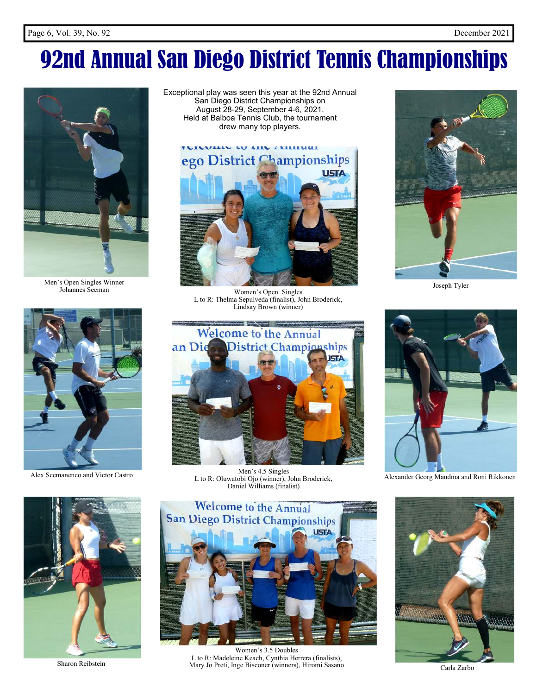# 92nd Annual San Diego District Tennis Championships



Men's Open Singles Winner Johannes Seeman



Alex Scemanenco and Victor Castro

Exceptional play was seen this year at the 92nd Annual San Diego District Championships on August 28-29, September 4-6, 2021. Held at Balboa Tennis Club, the tournament drew many top players.



Women's Open Singles L to R: Thelma Sepulveda (finalist), John Broderick, Lindsay Brown (winner)



Men's 4.5 Singles L to R: Oluwatobi Ojo (winner), John Broderick, Daniel Williams (finalist)



Joseph Tyler



Alexander Georg Mandma and Roni Rikkonen





Women's 3.5 Doubles L to R: Madeleine Keach, Cynthia Herrera (finalists), Sharon Reibstein Mary Jo Preti, Inge Bisconer (winners), Hiromi Sasano



Carla Zarbo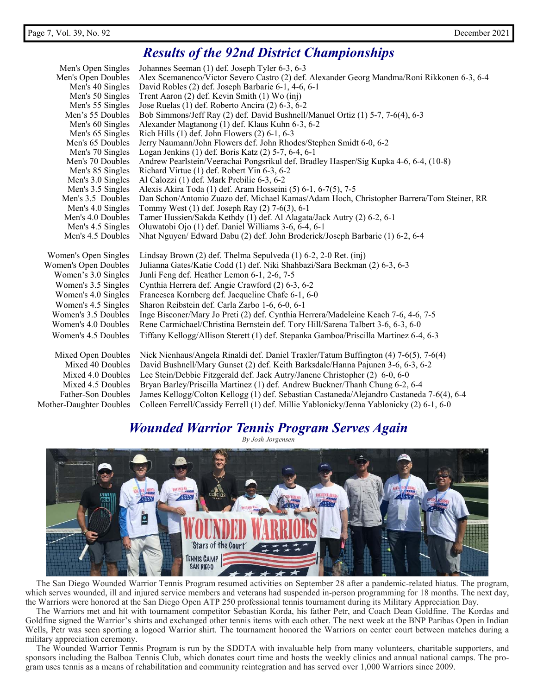## *Results of the 92nd District Championships*

| Men's Open Singles                     | Johannes Seeman (1) def. Joseph Tyler 6-3, 6-3                                                                                              |
|----------------------------------------|---------------------------------------------------------------------------------------------------------------------------------------------|
| Men's Open Doubles                     | Alex Scemanenco/Victor Severo Castro (2) def. Alexander Georg Mandma/Roni Rikkonen 6-3, 6-4                                                 |
| Men's 40 Singles                       | David Robles (2) def. Joseph Barbarie 6-1, 4-6, 6-1                                                                                         |
| Men's 50 Singles                       | Trent Aaron (2) def. Kevin Smith (1) Wo (inj)                                                                                               |
| Men's 55 Singles                       | Jose Ruelas (1) def. Roberto Ancira (2) 6-3, 6-2                                                                                            |
| Men's 55 Doubles                       | Bob Simmons/Jeff Ray (2) def. David Bushnell/Manuel Ortiz (1) 5-7, 7-6(4), 6-3                                                              |
| Men's 60 Singles                       | Alexander Magtanong (1) def. Klaus Kuhn 6-3, 6-2                                                                                            |
| Men's 65 Singles                       | Rich Hills $(1)$ def. John Flowers $(2)$ 6-1, 6-3                                                                                           |
| Men's 65 Doubles                       | Jerry Naumann/John Flowers def. John Rhodes/Stephen Smidt 6-0, 6-2                                                                          |
| Men's 70 Singles                       | Logan Jenkins (1) def. Boris Katz (2) 5-7, 6-4, 6-1                                                                                         |
| Men's 70 Doubles                       | Andrew Pearlstein/Veerachai Pongsrikul def. Bradley Hasper/Sig Kupka 4-6, 6-4, (10-8)                                                       |
| Men's 85 Singles                       | Richard Virtue (1) def. Robert Yin 6-3, 6-2                                                                                                 |
| Men's 3.0 Singles                      | Al Calozzi (1) def. Mark Prebilic 6-3, 6-2                                                                                                  |
| Men's 3.5 Singles<br>Men's 3.5 Doubles | Alexis Akira Toda (1) def. Aram Hosseini (5) 6-1, 6-7(5), 7-5                                                                               |
| Men's 4.0 Singles                      | Dan Schon/Antonio Zuazo def. Michael Kamas/Adam Hoch, Christopher Barrera/Tom Steiner, RR<br>Tommy West (1) def. Joseph Ray (2) 7-6(3), 6-1 |
| Men's 4.0 Doubles                      | Tamer Hussien/Sakda Kethdy (1) def. Al Alagata/Jack Autry (2) 6-2, 6-1                                                                      |
| Men's 4.5 Singles                      | Oluwatobi Ojo (1) def. Daniel Williams 3-6, 6-4, 6-1                                                                                        |
| Men's 4.5 Doubles                      | Nhat Nguyen/ Edward Dabu (2) def. John Broderick/Joseph Barbarie (1) 6-2, 6-4                                                               |
|                                        |                                                                                                                                             |
| Women's Open Singles                   | Lindsay Brown (2) def. Thelma Sepulveda (1) 6-2, 2-0 Ret. (inj)                                                                             |
| Women's Open Doubles                   | Julianna Gates/Katie Codd (1) def. Niki Shahbazi/Sara Beckman (2) 6-3, 6-3                                                                  |
| Women's 3.0 Singles                    | Junli Feng def. Heather Lemon 6-1, 2-6, 7-5                                                                                                 |
| Women's 3.5 Singles                    | Cynthia Herrera def. Angie Crawford (2) 6-3, 6-2                                                                                            |
| Women's 4.0 Singles                    | Francesca Kornberg def. Jacqueline Chafe 6-1, 6-0                                                                                           |
| Women's 4.5 Singles                    | Sharon Reibstein def. Carla Zarbo 1-6, 6-0, 6-1                                                                                             |
| Women's 3.5 Doubles                    | Inge Bisconer/Mary Jo Preti (2) def. Cynthia Herrera/Madeleine Keach 7-6, 4-6, 7-5                                                          |
| Women's 4.0 Doubles                    | Rene Carmichael/Christina Bernstein def. Tory Hill/Sarena Talbert 3-6, 6-3, 6-0                                                             |
| Women's 4.5 Doubles                    | Tiffany Kellogg/Allison Sterett (1) def. Stepanka Gamboa/Priscilla Martinez 6-4, 6-3                                                        |
|                                        |                                                                                                                                             |
| Mixed Open Doubles                     | Nick Nienhaus/Angela Rinaldi def. Daniel Traxler/Tatum Buffington (4) 7-6(5), 7-6(4)                                                        |
| Mixed 40 Doubles                       | David Bushnell/Mary Gunset (2) def. Keith Barksdale/Hanna Pajunen 3-6, 6-3, 6-2                                                             |
| Mixed 4.0 Doubles                      | Lee Stein/Debbie Fitzgerald def. Jack Autry/Janene Christopher (2) 6-0, 6-0                                                                 |
| Mixed 4.5 Doubles                      | Bryan Barley/Priscilla Martinez (1) def. Andrew Buckner/Thanh Chung 6-2, 6-4                                                                |
| Father-Son Doubles                     | James Kellogg/Colton Kellogg (1) def. Sebastian Castaneda/Alejandro Castaneda 7-6(4), 6-4                                                   |
| Mother-Daughter Doubles                | Colleen Ferrell/Cassidy Ferrell (1) def. Millie Yablonicky/Jenna Yablonicky (2) 6-1, 6-0                                                    |

## *Wounded Warrior Tennis Program Serves Again*

*By Josh Jorgensen* 



 The San Diego Wounded Warrior Tennis Program resumed activities on September 28 after a pandemic-related hiatus. The program, which serves wounded, ill and injured service members and veterans had suspended in-person programming for 18 months. The next day, the Warriors were honored at the San Diego Open ATP 250 professional tennis tournament during its Military Appreciation Day.

 The Warriors met and hit with tournament competitor Sebastian Korda, his father Petr, and Coach Dean Goldfine. The Kordas and Goldfine signed the Warrior's shirts and exchanged other tennis items with each other. The next week at the BNP Paribas Open in Indian Wells, Petr was seen sporting a logoed Warrior shirt. The tournament honored the Warriors on center court between matches during a military appreciation ceremony.

 The Wounded Warrior Tennis Program is run by the SDDTA with invaluable help from many volunteers, charitable supporters, and sponsors including the Balboa Tennis Club, which donates court time and hosts the weekly clinics and annual national camps. The program uses tennis as a means of rehabilitation and community reintegration and has served over 1,000 Warriors since 2009.